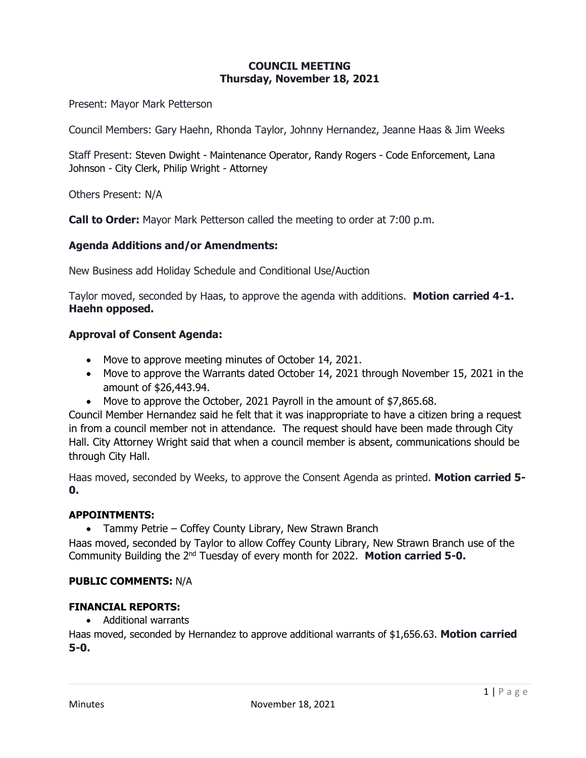# **COUNCIL MEETING Thursday, November 18, 2021**

Present: Mayor Mark Petterson

Council Members: Gary Haehn, Rhonda Taylor, Johnny Hernandez, Jeanne Haas & Jim Weeks

Staff Present: Steven Dwight - Maintenance Operator, Randy Rogers - Code Enforcement, Lana Johnson - City Clerk, Philip Wright - Attorney

Others Present: N/A

**Call to Order:** Mayor Mark Petterson called the meeting to order at 7:00 p.m.

## **Agenda Additions and/or Amendments:**

New Business add Holiday Schedule and Conditional Use/Auction

Taylor moved, seconded by Haas, to approve the agenda with additions. **Motion carried 4-1. Haehn opposed.**

## **Approval of Consent Agenda:**

- Move to approve meeting minutes of October 14, 2021.
- Move to approve the Warrants dated October 14, 2021 through November 15, 2021 in the amount of \$26,443.94.
- Move to approve the October, 2021 Payroll in the amount of \$7,865.68.

Council Member Hernandez said he felt that it was inappropriate to have a citizen bring a request in from a council member not in attendance. The request should have been made through City Hall. City Attorney Wright said that when a council member is absent, communications should be through City Hall.

Haas moved, seconded by Weeks, to approve the Consent Agenda as printed. **Motion carried 5- 0.**

## **APPOINTMENTS:**

• Tammy Petrie – Coffey County Library, New Strawn Branch

Haas moved, seconded by Taylor to allow Coffey County Library, New Strawn Branch use of the Community Building the 2nd Tuesday of every month for 2022. **Motion carried 5-0.**

## **PUBLIC COMMENTS:** N/A

## **FINANCIAL REPORTS:**

• Additional warrants

Haas moved, seconded by Hernandez to approve additional warrants of \$1,656.63. **Motion carried 5-0.**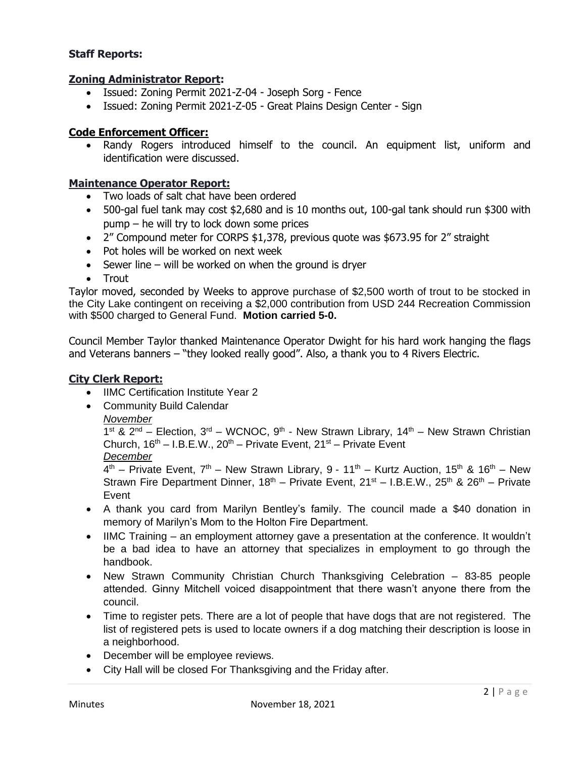## **Staff Reports:**

## **Zoning Administrator Report:**

- Issued: Zoning Permit 2021-Z-04 Joseph Sorg Fence
- Issued: Zoning Permit 2021-Z-05 Great Plains Design Center Sign

## **Code Enforcement Officer:**

• Randy Rogers introduced himself to the council. An equipment list, uniform and identification were discussed.

## **Maintenance Operator Report:**

- Two loads of salt chat have been ordered
- 500-gal fuel tank may cost \$2,680 and is 10 months out, 100-gal tank should run \$300 with pump – he will try to lock down some prices
- 2" Compound meter for CORPS \$1,378, previous quote was \$673.95 for 2" straight
- Pot holes will be worked on next week
- Sewer line will be worked on when the ground is dryer
- Trout

Taylor moved, seconded by Weeks to approve purchase of \$2,500 worth of trout to be stocked in the City Lake contingent on receiving a \$2,000 contribution from USD 244 Recreation Commission with \$500 charged to General Fund. **Motion carried 5-0.**

Council Member Taylor thanked Maintenance Operator Dwight for his hard work hanging the flags and Veterans banners – "they looked really good". Also, a thank you to 4 Rivers Electric.

## **City Clerk Report:**

- **IIMC Certification Institute Year 2**
- Community Build Calendar
	- *November*

 $1^{st}$  &  $2^{nd}$  – Election,  $3^{rd}$  – WCNOC,  $9^{th}$  - New Strawn Library,  $14^{th}$  – New Strawn Christian Church,  $16<sup>th</sup> - I.B.E.W., 20<sup>th</sup> - Private Event, 21<sup>st</sup> - Private Event$ *December*

 $4<sup>th</sup>$  – Private Event, 7<sup>th</sup> – New Strawn Library, 9 - 11<sup>th</sup> – Kurtz Auction, 15<sup>th</sup> & 16<sup>th</sup> – New Strawn Fire Department Dinner,  $18<sup>th</sup>$  – Private Event,  $21<sup>st</sup>$  – I.B.E.W.,  $25<sup>th</sup>$  &  $26<sup>th</sup>$  – Private Event

- A thank you card from Marilyn Bentley's family. The council made a \$40 donation in memory of Marilyn's Mom to the Holton Fire Department.
- IIMC Training an employment attorney gave a presentation at the conference. It wouldn't be a bad idea to have an attorney that specializes in employment to go through the handbook.
- New Strawn Community Christian Church Thanksgiving Celebration 83-85 people attended. Ginny Mitchell voiced disappointment that there wasn't anyone there from the council.
- Time to register pets. There are a lot of people that have dogs that are not registered. The list of registered pets is used to locate owners if a dog matching their description is loose in a neighborhood.
- December will be employee reviews.
- City Hall will be closed For Thanksgiving and the Friday after.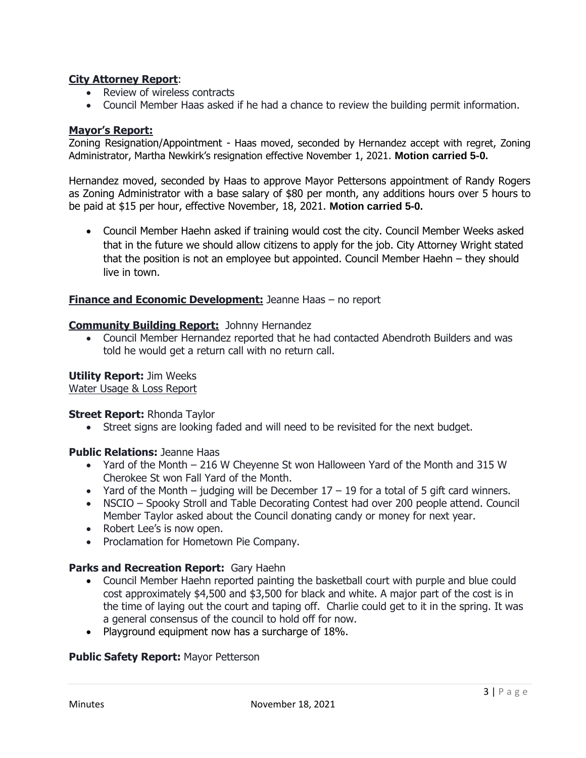## **City Attorney Report**:

- Review of wireless contracts
- Council Member Haas asked if he had a chance to review the building permit information.

## **Mayor's Report:**

Zoning Resignation/Appointment - Haas moved, seconded by Hernandez accept with regret, Zoning Administrator, Martha Newkirk's resignation effective November 1, 2021. **Motion carried 5-0.**

Hernandez moved, seconded by Haas to approve Mayor Pettersons appointment of Randy Rogers as Zoning Administrator with a base salary of \$80 per month, any additions hours over 5 hours to be paid at \$15 per hour, effective November, 18, 2021. **Motion carried 5-0.**

• Council Member Haehn asked if training would cost the city. Council Member Weeks asked that in the future we should allow citizens to apply for the job. City Attorney Wright stated that the position is not an employee but appointed. Council Member Haehn – they should live in town.

## **Finance and Economic Development:** Jeanne Haas – no report

## **Community Building Report:** Johnny Hernandez

• Council Member Hernandez reported that he had contacted Abendroth Builders and was told he would get a return call with no return call.

## **Utility Report:** Jim Weeks

Water Usage & Loss Report

## **Street Report:** Rhonda Taylor

• Street signs are looking faded and will need to be revisited for the next budget.

## **Public Relations:** Jeanne Haas

- Yard of the Month 216 W Cheyenne St won Halloween Yard of the Month and 315 W Cherokee St won Fall Yard of the Month.
- Yard of the Month judging will be December  $17 19$  for a total of 5 gift card winners.
- NSCIO Spooky Stroll and Table Decorating Contest had over 200 people attend. Council Member Taylor asked about the Council donating candy or money for next year.
- Robert Lee's is now open.
- Proclamation for Hometown Pie Company.

## **Parks and Recreation Report:** Gary Haehn

- Council Member Haehn reported painting the basketball court with purple and blue could cost approximately \$4,500 and \$3,500 for black and white. A major part of the cost is in the time of laying out the court and taping off. Charlie could get to it in the spring. It was a general consensus of the council to hold off for now.
- Playground equipment now has a surcharge of 18%.

## **Public Safety Report:** Mayor Petterson